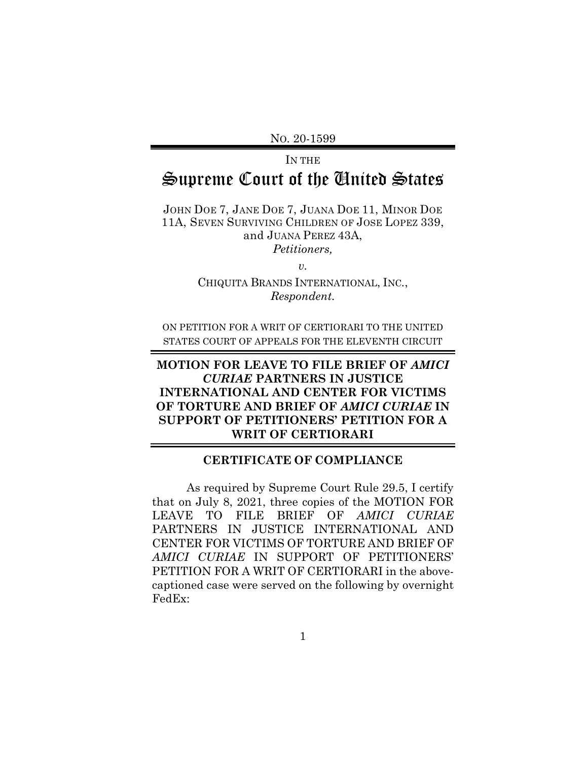NO. 20-1599

## IN THE Supreme Court of the United States

JOHN DOE 7, JANE DOE 7, JUANA DOE 11, MINOR DOE 11A, SEVEN SURVIVING CHILDREN OF JOSE LOPEZ 339, and JUANA PEREZ 43A, *Petitioners,*

*v.*

CHIQUITA BRANDS INTERNATIONAL, INC*.*, *Respondent.*

ON PETITION FOR A WRIT OF CERTIORARI TO THE UNITED STATES COURT OF APPEALS FOR THE ELEVENTH CIRCUIT

## **MOTION FOR LEAVE TO FILE BRIEF OF** *AMICI CURIAE* **PARTNERS IN JUSTICE INTERNATIONAL AND CENTER FOR VICTIMS OF TORTURE AND BRIEF OF** *AMICI CURIAE* **IN SUPPORT OF PETITIONERS' PETITION FOR A WRIT OF CERTIORARI**

## **CERTIFICATE OF COMPLIANCE**

As required by Supreme Court Rule 29.5, I certify that on July 8, 2021, three copies of the MOTION FOR LEAVE TO FILE BRIEF OF *AMICI CURIAE* PARTNERS IN JUSTICE INTERNATIONAL AND CENTER FOR VICTIMS OF TORTURE AND BRIEF OF *AMICI CURIAE* IN SUPPORT OF PETITIONERS' PETITION FOR A WRIT OF CERTIORARI in the abovecaptioned case were served on the following by overnight FedEx: